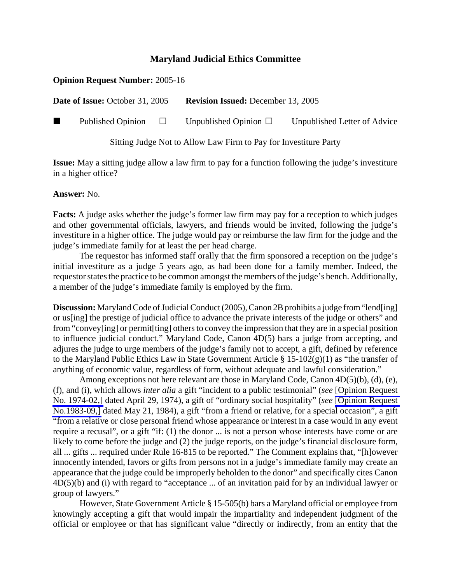## **Maryland Judicial Ethics Committee**

## **Opinion Request Number:** 2005-16

**Date of Issue:** October 31, 2005 **Revision Issued:** December 13, 2005

Published Opinion  $\Box$  Unpublished Opinion  $\Box$  Unpublished Letter of Advice

Sitting Judge Not to Allow Law Firm to Pay for Investiture Party

**Issue:** May a sitting judge allow a law firm to pay for a function following the judge's investiture in a higher office?

**Answer:** No.

**Facts:** A judge asks whether the judge's former law firm may pay for a reception to which judges and other governmental officials, lawyers, and friends would be invited, following the judge's investiture in a higher office. The judge would pay or reimburse the law firm for the judge and the judge's immediate family for at least the per head charge.

The requestor has informed staff orally that the firm sponsored a reception on the judge's initial investiture as a judge 5 years ago, as had been done for a family member. Indeed, the requestor states the practice to be common amongst the members of the judge's bench. Additionally, a member of the judge's immediate family is employed by the firm.

**Discussion:** Maryland Code of Judicial Conduct (2005), Canon 2B prohibits a judge from "lend[ing] or us[ing] the prestige of judicial office to advance the private interests of the judge or others" and from "convey[ing] or permit[ting] others to convey the impression that they are in a special position to influence judicial conduct." Maryland Code, Canon 4D(5) bars a judge from accepting, and adjures the judge to urge members of the judge's family not to accept, a gift, defined by reference to the Maryland Public Ethics Law in State Government Article § 15-102(g)(1) as "the transfer of anything of economic value, regardless of form, without adequate and lawful consideration."

Among exceptions not here relevant are those in Maryland Code, Canon 4D(5)(b), (d), (e), (f), and (i), which allows *inter alia* a gift "incident to a public testimonial" (*see* [\[Opinion Request](http://www.mdcourts.gov/ethics/pdfs/1974-02.pdf) [No. 1974-02,\]](http://www.mdcourts.gov/ethics/pdfs/1974-02.pdf) dated April 29, 1974), a gift of "ordinary social hospitality" (*see* [\[Opinion Request](http://www.mdcourts.gov/ethics/pdfs/1983-09.pdf) [No.1983-09,\]](http://www.mdcourts.gov/ethics/pdfs/1983-09.pdf) dated May 21, 1984), a gift "from a friend or relative, for a special occasion", a gift "from a relative or close personal friend whose appearance or interest in a case would in any event require a recusal", or a gift "if: (1) the donor ... is not a person whose interests have come or are likely to come before the judge and (2) the judge reports, on the judge's financial disclosure form, all ... gifts ... required under Rule 16-815 to be reported." The Comment explains that, "[h]owever innocently intended, favors or gifts from persons not in a judge's immediate family may create an appearance that the judge could be improperly beholden to the donor" and specifically cites Canon 4D(5)(b) and (i) with regard to "acceptance ... of an invitation paid for by an individual lawyer or group of lawyers."

However, State Government Article § 15-505(b) bars a Maryland official or employee from knowingly accepting a gift that would impair the impartiality and independent judgment of the official or employee or that has significant value "directly or indirectly, from an entity that the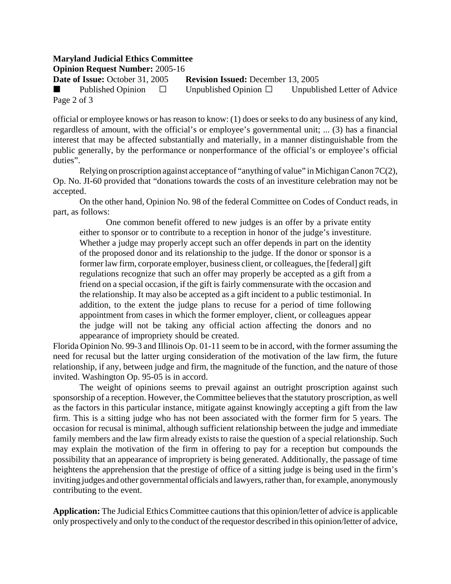## **Maryland Judicial Ethics Committee**

**Opinion Request Number:** 2005-16

**Date of Issue:** October 31, 2005 **Revision Issued:** December 13, 2005

Published Opinion  $\Box$  Unpublished Opinion  $\Box$  Unpublished Letter of Advice Page 2 of 3

official or employee knows or has reason to know: (1) does or seeks to do any business of any kind, regardless of amount, with the official's or employee's governmental unit; ... (3) has a financial interest that may be affected substantially and materially, in a manner distinguishable from the public generally, by the performance or nonperformance of the official's or employee's official duties".

Relying on proscription against acceptance of "anything of value" in Michigan Canon 7C(2), Op. No. JI-60 provided that "donations towards the costs of an investiture celebration may not be accepted.

On the other hand, Opinion No. 98 of the federal Committee on Codes of Conduct reads, in part, as follows:

One common benefit offered to new judges is an offer by a private entity either to sponsor or to contribute to a reception in honor of the judge's investiture. Whether a judge may properly accept such an offer depends in part on the identity of the proposed donor and its relationship to the judge. If the donor or sponsor is a former law firm, corporate employer, business client, or colleagues, the [federal] gift regulations recognize that such an offer may properly be accepted as a gift from a friend on a special occasion, if the gift is fairly commensurate with the occasion and the relationship. It may also be accepted as a gift incident to a public testimonial. In addition, to the extent the judge plans to recuse for a period of time following appointment from cases in which the former employer, client, or colleagues appear the judge will not be taking any official action affecting the donors and no appearance of impropriety should be created.

Florida Opinion No. 99-3 and Illinois Op. 01-11 seem to be in accord, with the former assuming the need for recusal but the latter urging consideration of the motivation of the law firm, the future relationship, if any, between judge and firm, the magnitude of the function, and the nature of those invited. Washington Op. 95-05 is in accord.

The weight of opinions seems to prevail against an outright proscription against such sponsorship of a reception. However, the Committee believes that the statutory proscription, as well as the factors in this particular instance, mitigate against knowingly accepting a gift from the law firm. This is a sitting judge who has not been associated with the former firm for 5 years. The occasion for recusal is minimal, although sufficient relationship between the judge and immediate family members and the law firm already exists to raise the question of a special relationship. Such may explain the motivation of the firm in offering to pay for a reception but compounds the possibility that an appearance of impropriety is being generated. Additionally, the passage of time heightens the apprehension that the prestige of office of a sitting judge is being used in the firm's inviting judges and other governmental officials and lawyers, rather than, for example, anonymously contributing to the event.

**Application:** The Judicial Ethics Committee cautions that this opinion/letter of advice is applicable only prospectively and only to the conduct of the requestor described in this opinion/letter of advice,